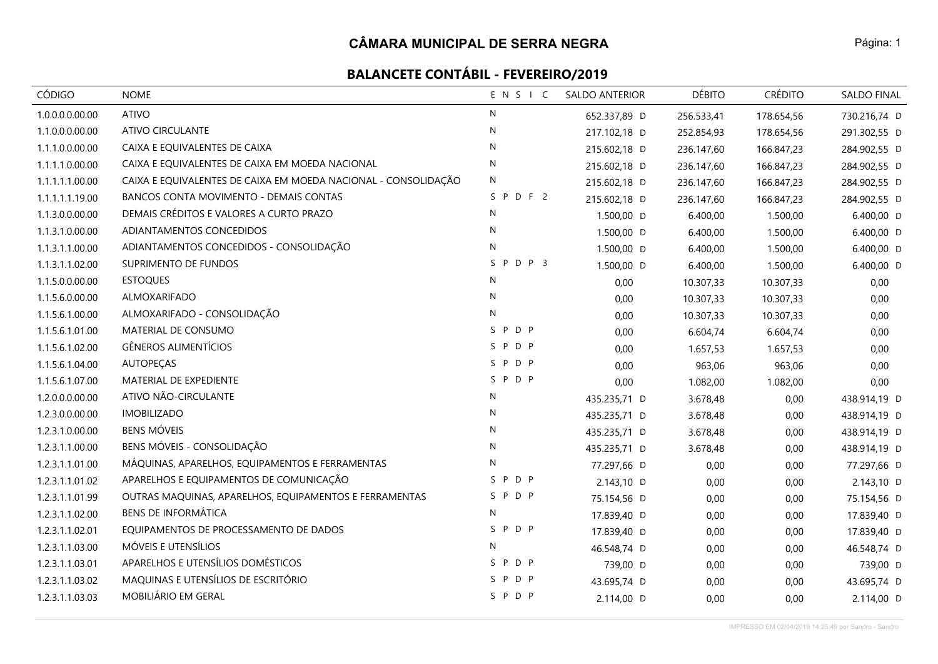| <b>CÓDIGO</b>   | <b>NOME</b>                                                    | ENSIC        | <b>SALDO ANTERIOR</b> | <b>DÉBITO</b> | <b>CRÉDITO</b> | SALDO FINAL  |
|-----------------|----------------------------------------------------------------|--------------|-----------------------|---------------|----------------|--------------|
| 1.0.0.0.0.00.00 | <b>ATIVO</b>                                                   | N            | 652.337,89 D          | 256.533,41    | 178.654,56     | 730.216,74 D |
| 1.1.0.0.0.00.00 | <b>ATIVO CIRCULANTE</b>                                        | $\mathsf{N}$ | 217.102,18 D          | 252.854,93    | 178.654,56     | 291.302,55 D |
| 1.1.1.0.0.00.00 | CAIXA E EQUIVALENTES DE CAIXA                                  | N            | 215.602,18 D          | 236.147,60    | 166.847,23     | 284.902,55 D |
| 1.1.1.1.0.00.00 | CAIXA E EQUIVALENTES DE CAIXA EM MOEDA NACIONAL                | $\mathsf{N}$ | 215.602,18 D          | 236.147,60    | 166.847,23     | 284.902,55 D |
| 1.1.1.1.1.00.00 | CAIXA E EQUIVALENTES DE CAIXA EM MOEDA NACIONAL - CONSOLIDAÇÃO | N            | 215.602,18 D          | 236.147,60    | 166.847,23     | 284.902,55 D |
| 1.1.1.1.1.19.00 | BANCOS CONTA MOVIMENTO - DEMAIS CONTAS                         | SPDF2        | 215.602,18 D          | 236.147,60    | 166.847,23     | 284.902,55 D |
| 1.1.3.0.0.00.00 | DEMAIS CRÉDITOS E VALORES A CURTO PRAZO                        | N            | 1.500,00 D            | 6.400,00      | 1.500,00       | 6.400,00 D   |
| 1.1.3.1.0.00.00 | ADIANTAMENTOS CONCEDIDOS                                       | N            | 1.500,00 D            | 6.400,00      | 1.500,00       | 6.400,00 D   |
| 1.1.3.1.1.00.00 | ADIANTAMENTOS CONCEDIDOS - CONSOLIDAÇÃO                        | $\mathsf{N}$ | 1.500,00 D            | 6.400,00      | 1.500,00       | 6.400,00 D   |
| 1.1.3.1.1.02.00 | SUPRIMENTO DE FUNDOS                                           | SPDP 3       | 1.500,00 D            | 6.400,00      | 1.500,00       | 6.400,00 D   |
| 1.1.5.0.0.00.00 | <b>ESTOQUES</b>                                                | N            | 0,00                  | 10.307,33     | 10.307,33      | 0,00         |
| 1.1.5.6.0.00.00 | ALMOXARIFADO                                                   | $\mathsf{N}$ | 0,00                  | 10.307,33     | 10.307,33      | 0,00         |
| 1.1.5.6.1.00.00 | ALMOXARIFADO - CONSOLIDAÇÃO                                    | ${\sf N}$    | 0,00                  | 10.307,33     | 10.307,33      | 0,00         |
| 1.1.5.6.1.01.00 | MATERIAL DE CONSUMO                                            | SPDP         | 0,00                  | 6.604,74      | 6.604,74       | 0,00         |
| 1.1.5.6.1.02.00 | GÊNEROS ALIMENTÍCIOS                                           | SPDP         | 0,00                  | 1.657,53      | 1.657,53       | 0,00         |
| 1.1.5.6.1.04.00 | <b>AUTOPEÇAS</b>                                               | SPDP         | 0,00                  | 963,06        | 963,06         | 0,00         |
| 1.1.5.6.1.07.00 | MATERIAL DE EXPEDIENTE                                         | SPDP         | 0,00                  | 1.082,00      | 1.082,00       | 0,00         |
| 1.2.0.0.0.00.00 | ATIVO NÃO-CIRCULANTE                                           | $\mathsf{N}$ | 435.235,71 D          | 3.678,48      | 0,00           | 438.914,19 D |
| 1.2.3.0.0.00.00 | <b>IMOBILIZADO</b>                                             | N            | 435.235,71 D          | 3.678,48      | 0,00           | 438.914,19 D |
| 1.2.3.1.0.00.00 | <b>BENS MÓVEIS</b>                                             | N            | 435.235,71 D          | 3.678,48      | 0,00           | 438.914,19 D |
| 1.2.3.1.1.00.00 | BENS MÓVEIS - CONSOLIDAÇÃO                                     | ${\sf N}$    | 435.235,71 D          | 3.678,48      | 0,00           | 438.914,19 D |
| 1.2.3.1.1.01.00 | MÁQUINAS, APARELHOS, EQUIPAMENTOS E FERRAMENTAS                | N            | 77.297,66 D           | 0,00          | 0,00           | 77.297,66 D  |
| 1.2.3.1.1.01.02 | APARELHOS E EQUIPAMENTOS DE COMUNICAÇÃO                        | SPDP         | 2.143,10 D            | 0,00          | 0,00           | 2.143,10 D   |
| 1.2.3.1.1.01.99 | OUTRAS MAQUINAS, APARELHOS, EQUIPAMENTOS E FERRAMENTAS         | SPDP         | 75.154,56 D           | 0,00          | 0,00           | 75.154,56 D  |
| 1.2.3.1.1.02.00 | <b>BENS DE INFORMÁTICA</b>                                     | N            | 17.839,40 D           | 0,00          | 0,00           | 17.839,40 D  |
| 1.2.3.1.1.02.01 | EQUIPAMENTOS DE PROCESSAMENTO DE DADOS                         | SPDP         | 17.839,40 D           | 0,00          | 0,00           | 17.839,40 D  |
| 1.2.3.1.1.03.00 | MÓVEIS E UTENSÍLIOS                                            | N            | 46.548,74 D           | 0,00          | 0,00           | 46.548,74 D  |
| 1.2.3.1.1.03.01 | APARELHOS E UTENSÍLIOS DOMÉSTICOS                              | SPDP         | 739,00 D              | 0,00          | 0,00           | 739,00 D     |
| 1.2.3.1.1.03.02 | MAQUINAS E UTENSÍLIOS DE ESCRITÓRIO                            | P D P<br>S.  | 43.695,74 D           | 0,00          | 0,00           | 43.695,74 D  |
| 1.2.3.1.1.03.03 | MOBILIÁRIO EM GERAL                                            | SPDP         | 2.114,00 D            | 0,00          | 0,00           | 2.114,00 D   |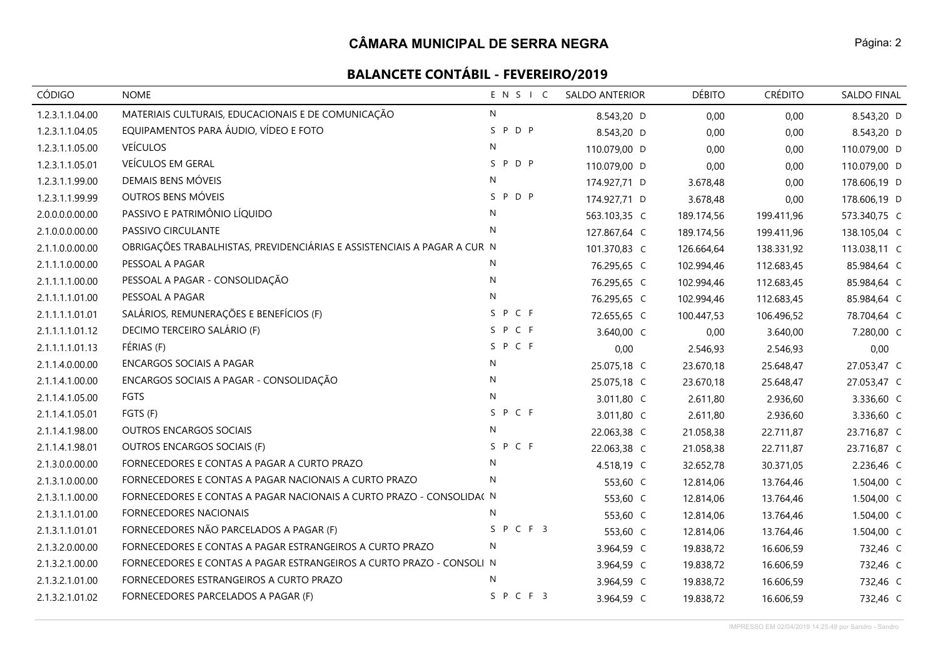| <b>CÓDIGO</b>   | <b>NOME</b>                                                              | ENSIC   | SALDO ANTERIOR | <b>DÉBITO</b> | <b>CRÉDITO</b> | SALDO FINAL  |
|-----------------|--------------------------------------------------------------------------|---------|----------------|---------------|----------------|--------------|
| 1.2.3.1.1.04.00 | MATERIAIS CULTURAIS, EDUCACIONAIS E DE COMUNICAÇÃO                       | N       | 8.543,20 D     | 0,00          | 0,00           | 8.543,20 D   |
| 1.2.3.1.1.04.05 | EQUIPAMENTOS PARA ÁUDIO, VÍDEO E FOTO                                    | SPDP    | 8.543,20 D     | 0,00          | 0,00           | 8.543,20 D   |
| 1.2.3.1.1.05.00 | <b>VEÍCULOS</b>                                                          | N       | 110.079,00 D   | 0,00          | 0,00           | 110.079,00 D |
| 1.2.3.1.1.05.01 | VEÍCULOS EM GERAL                                                        | SPDP    | 110.079,00 D   | 0,00          | 0,00           | 110.079,00 D |
| 1.2.3.1.1.99.00 | DEMAIS BENS MÓVEIS                                                       | N       | 174.927,71 D   | 3.678,48      | 0,00           | 178.606,19 D |
| 1.2.3.1.1.99.99 | OUTROS BENS MÓVEIS                                                       | SPDP    | 174.927,71 D   | 3.678,48      | 0,00           | 178.606,19 D |
| 2.0.0.0.0.00.00 | PASSIVO E PATRIMÔNIO LÍQUIDO                                             | N       | 563.103,35 C   | 189.174,56    | 199.411,96     | 573.340,75 C |
| 2.1.0.0.0.00.00 | PASSIVO CIRCULANTE                                                       | N       | 127.867,64 C   | 189.174,56    | 199.411,96     | 138.105,04 C |
| 2.1.1.0.0.00.00 | OBRIGAÇÕES TRABALHISTAS, PREVIDENCIÁRIAS E ASSISTENCIAIS A PAGAR A CUR N |         | 101.370,83 C   | 126.664,64    | 138.331,92     | 113.038,11 C |
| 2.1.1.1.0.00.00 | PESSOAL A PAGAR                                                          | N       | 76.295,65 C    | 102.994,46    | 112.683,45     | 85.984,64 C  |
| 2.1.1.1.1.00.00 | PESSOAL A PAGAR - CONSOLIDAÇÃO                                           | N       | 76.295,65 C    | 102.994,46    | 112.683,45     | 85.984,64 C  |
| 2.1.1.1.1.01.00 | PESSOAL A PAGAR                                                          | N       | 76.295,65 C    | 102.994,46    | 112.683,45     | 85.984,64 C  |
| 2.1.1.1.1.01.01 | SALÁRIOS, REMUNERAÇÕES E BENEFÍCIOS (F)                                  | SPCF    | 72.655,65 C    | 100.447,53    | 106.496,52     | 78.704,64 C  |
| 2.1.1.1.1.01.12 | DECIMO TERCEIRO SALÁRIO (F)                                              | SPCF    | 3.640,00 C     | 0,00          | 3.640,00       | 7.280,00 C   |
| 2.1.1.1.1.01.13 | FÉRIAS (F)                                                               | S P C F | 0,00           | 2.546,93      | 2.546,93       | 0,00         |
| 2.1.1.4.0.00.00 | <b>ENCARGOS SOCIAIS A PAGAR</b>                                          | N       | 25.075,18 C    | 23.670,18     | 25.648,47      | 27.053,47 C  |
| 2.1.1.4.1.00.00 | ENCARGOS SOCIAIS A PAGAR - CONSOLIDAÇÃO                                  | N       | 25.075,18 C    | 23.670,18     | 25.648,47      | 27.053,47 C  |
| 2.1.1.4.1.05.00 | FGTS                                                                     | N       | 3.011,80 C     | 2.611,80      | 2.936,60       | 3.336,60 C   |
| 2.1.1.4.1.05.01 | FGTS (F)                                                                 | SPCF    | 3.011,80 C     | 2.611,80      | 2.936,60       | 3.336,60 C   |
| 2.1.1.4.1.98.00 | OUTROS ENCARGOS SOCIAIS                                                  | N       | 22.063,38 C    | 21.058,38     | 22.711,87      | 23.716,87 C  |
| 2.1.1.4.1.98.01 | OUTROS ENCARGOS SOCIAIS (F)                                              | S P C F | 22.063,38 C    | 21.058,38     | 22.711,87      | 23.716,87 C  |
| 2.1.3.0.0.00.00 | FORNECEDORES E CONTAS A PAGAR A CURTO PRAZO                              | N       | 4.518,19 C     | 32.652,78     | 30.371,05      | 2.236,46 C   |
| 2.1.3.1.0.00.00 | FORNECEDORES E CONTAS A PAGAR NACIONAIS A CURTO PRAZO                    | N       | 553,60 C       | 12.814,06     | 13.764,46      | 1.504,00 C   |
| 2.1.3.1.1.00.00 | FORNECEDORES E CONTAS A PAGAR NACIONAIS A CURTO PRAZO - CONSOLIDA( N     |         | 553,60 C       | 12.814,06     | 13.764,46      | 1.504,00 C   |
| 2.1.3.1.1.01.00 | FORNECEDORES NACIONAIS                                                   | N       | 553,60 C       | 12.814,06     | 13.764,46      | 1.504,00 C   |
| 2.1.3.1.1.01.01 | FORNECEDORES NÃO PARCELADOS A PAGAR (F)                                  | SPCF3   | 553,60 C       | 12.814,06     | 13.764,46      | 1.504,00 C   |
| 2.1.3.2.0.00.00 | FORNECEDORES E CONTAS A PAGAR ESTRANGEIROS A CURTO PRAZO                 | N       | 3.964,59 C     | 19.838,72     | 16.606,59      | 732,46 C     |
| 2.1.3.2.1.00.00 | FORNECEDORES E CONTAS A PAGAR ESTRANGEIROS A CURTO PRAZO - CONSOLI N     |         | 3.964,59 C     | 19.838,72     | 16.606,59      | 732,46 C     |
| 2.1.3.2.1.01.00 | FORNECEDORES ESTRANGEIROS A CURTO PRAZO                                  | N       | 3.964,59 C     | 19.838,72     | 16.606,59      | 732,46 C     |
| 2.1.3.2.1.01.02 | FORNECEDORES PARCELADOS A PAGAR (F)                                      | SPCF3   | 3.964,59 C     | 19.838,72     | 16.606,59      | 732,46 C     |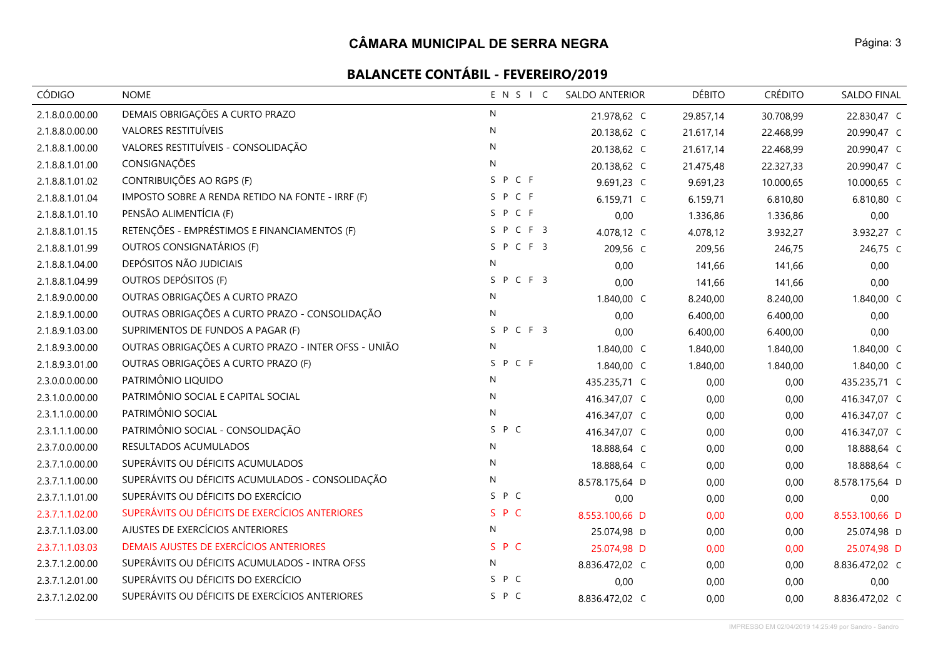| CÓDIGO          | <b>NOME</b>                                          | ENSIC        | <b>SALDO ANTERIOR</b> | <b>DÉBITO</b> | <b>CRÉDITO</b> | SALDO FINAL    |
|-----------------|------------------------------------------------------|--------------|-----------------------|---------------|----------------|----------------|
| 2.1.8.0.0.00.00 | DEMAIS OBRIGAÇÕES A CURTO PRAZO                      | N            | 21.978,62 C           | 29.857,14     | 30.708,99      | 22.830,47 C    |
| 2.1.8.8.0.00.00 | VALORES RESTITUÍVEIS                                 | $\mathsf{N}$ | 20.138,62 C           | 21.617,14     | 22.468,99      | 20.990,47 C    |
| 2.1.8.8.1.00.00 | VALORES RESTITUÍVEIS - CONSOLIDAÇÃO                  | ${\sf N}$    | 20.138,62 C           | 21.617,14     | 22.468,99      | 20.990,47 C    |
| 2.1.8.8.1.01.00 | CONSIGNAÇÕES                                         | N            | 20.138,62 C           | 21.475,48     | 22.327,33      | 20.990,47 C    |
| 2.1.8.8.1.01.02 | CONTRIBUIÇÕES AO RGPS (F)                            | SPCF         | 9.691,23 C            | 9.691,23      | 10.000,65      | 10.000,65 C    |
| 2.1.8.8.1.01.04 | IMPOSTO SOBRE A RENDA RETIDO NA FONTE - IRRF (F)     | SPCF         | 6.159,71 C            | 6.159,71      | 6.810,80       | 6.810,80 C     |
| 2.1.8.8.1.01.10 | PENSÃO ALIMENTÍCIA (F)                               | SPCF         | 0,00                  | 1.336,86      | 1.336,86       | 0,00           |
| 2.1.8.8.1.01.15 | RETENÇÕES - EMPRÉSTIMOS E FINANCIAMENTOS (F)         | SPCF3        | 4.078,12 C            | 4.078,12      | 3.932,27       | 3.932,27 C     |
| 2.1.8.8.1.01.99 | OUTROS CONSIGNATÁRIOS (F)                            | SPCF3        | 209,56 C              | 209,56        | 246,75         | 246,75 C       |
| 2.1.8.8.1.04.00 | DEPÓSITOS NÃO JUDICIAIS                              | N            | 0,00                  | 141,66        | 141,66         | 0,00           |
| 2.1.8.8.1.04.99 | OUTROS DEPÓSITOS (F)                                 | SPCF3        | 0,00                  | 141,66        | 141,66         | 0,00           |
| 2.1.8.9.0.00.00 | OUTRAS OBRIGAÇÕES A CURTO PRAZO                      | N            | 1.840,00 C            | 8.240,00      | 8.240,00       | 1.840,00 C     |
| 2.1.8.9.1.00.00 | OUTRAS OBRIGAÇÕES A CURTO PRAZO - CONSOLIDAÇÃO       | N            | 0,00                  | 6.400,00      | 6.400,00       | 0,00           |
| 2.1.8.9.1.03.00 | SUPRIMENTOS DE FUNDOS A PAGAR (F)                    | SPCF3        | 0,00                  | 6.400,00      | 6.400,00       | 0,00           |
| 2.1.8.9.3.00.00 | OUTRAS OBRIGAÇÕES A CURTO PRAZO - INTER OFSS - UNIÃO | N            | 1.840,00 C            | 1.840,00      | 1.840,00       | 1.840,00 C     |
| 2.1.8.9.3.01.00 | OUTRAS OBRIGAÇÕES A CURTO PRAZO (F)                  | SPCF         | 1.840,00 C            | 1.840,00      | 1.840,00       | 1.840,00 C     |
| 2.3.0.0.0.00.00 | PATRIMÔNIO LIQUIDO                                   | N            | 435.235,71 C          | 0,00          | 0,00           | 435.235,71 C   |
| 2.3.1.0.0.00.00 | PATRIMÔNIO SOCIAL E CAPITAL SOCIAL                   | N            | 416.347,07 C          | 0,00          | 0,00           | 416.347,07 C   |
| 2.3.1.1.0.00.00 | PATRIMÔNIO SOCIAL                                    | N            | 416.347,07 C          | 0,00          | 0,00           | 416.347,07 C   |
| 2.3.1.1.1.00.00 | PATRIMÔNIO SOCIAL - CONSOLIDAÇÃO                     | S P C        | 416.347,07 C          | 0,00          | 0,00           | 416.347,07 C   |
| 2.3.7.0.0.00.00 | RESULTADOS ACUMULADOS                                | $\mathsf{N}$ | 18.888,64 C           | 0,00          | 0,00           | 18.888,64 C    |
| 2.3.7.1.0.00.00 | SUPERÁVITS OU DÉFICITS ACUMULADOS                    | $\mathsf{N}$ | 18.888,64 C           | 0,00          | 0,00           | 18.888,64 C    |
| 2.3.7.1.1.00.00 | SUPERÁVITS OU DÉFICITS ACUMULADOS - CONSOLIDAÇÃO     | ${\sf N}$    | 8.578.175,64 D        | 0,00          | 0,00           | 8.578.175,64 D |
| 2.3.7.1.1.01.00 | SUPERÁVITS OU DÉFICITS DO EXERCÍCIO                  | S P C        | 0,00                  | 0,00          | 0,00           | 0,00           |
| 2.3.7.1.1.02.00 | SUPERÁVITS OU DÉFICITS DE EXERCÍCIOS ANTERIORES      | S P C        | 8.553.100,66 D        | 0,00          | 0,00           | 8.553.100,66 D |
| 2.3.7.1.1.03.00 | AJUSTES DE EXERCÍCIOS ANTERIORES                     | N            | 25.074,98 D           | 0,00          | 0,00           | 25.074,98 D    |
| 2.3.7.1.1.03.03 | DEMAIS AJUSTES DE EXERCÍCIOS ANTERIORES              | S P C        | 25.074,98 D           | 0,00          | 0,00           | 25.074,98 D    |
| 2.3.7.1.2.00.00 | SUPERÁVITS OU DÉFICITS ACUMULADOS - INTRA OFSS       | N            | 8.836.472,02 C        | 0,00          | 0,00           | 8.836.472,02 C |
| 2.3.7.1.2.01.00 | SUPERÁVITS OU DÉFICITS DO EXERCÍCIO                  | S P C        | 0,00                  | 0,00          | 0,00           | 0,00           |
| 2.3.7.1.2.02.00 | SUPERÁVITS OU DÉFICITS DE EXERCÍCIOS ANTERIORES      | S P C        | 8.836.472,02 C        | 0,00          | 0,00           | 8.836.472,02 C |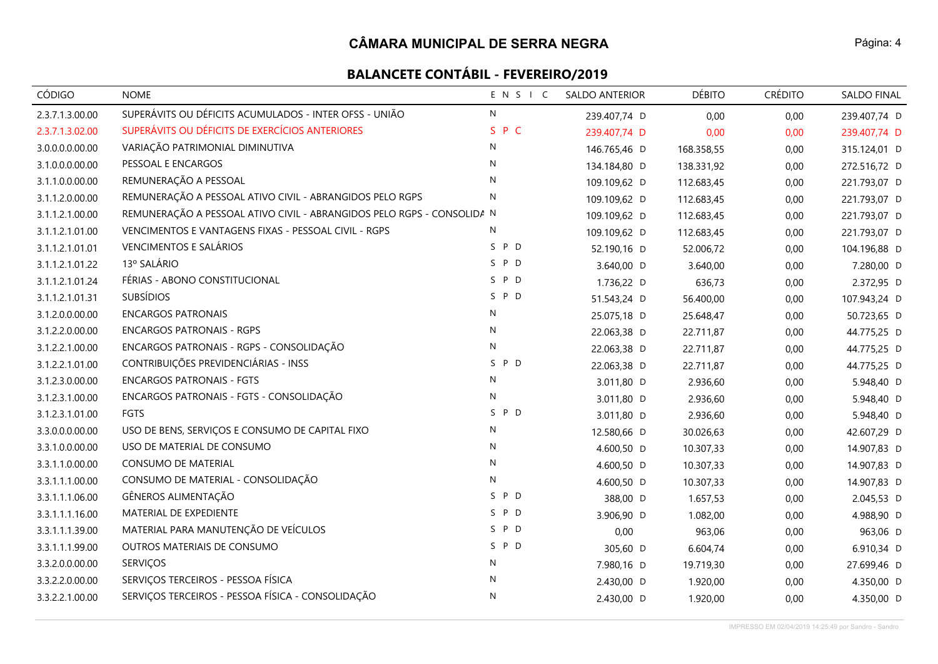| <b>CÓDIGO</b>   | <b>NOME</b>                                                            | ENSIC        | <b>SALDO ANTERIOR</b> | <b>DÉBITO</b> | <b>CRÉDITO</b> | SALDO FINAL  |
|-----------------|------------------------------------------------------------------------|--------------|-----------------------|---------------|----------------|--------------|
| 2.3.7.1.3.00.00 | SUPERÁVITS OU DÉFICITS ACUMULADOS - INTER OFSS - UNIÃO                 | N            | 239.407,74 D          | 0,00          | 0,00           | 239.407,74 D |
| 2.3.7.1.3.02.00 | SUPERÁVITS OU DÉFICITS DE EXERCÍCIOS ANTERIORES                        | S P C        | 239.407,74 D          | 0,00          | 0,00           | 239.407,74 D |
| 3.0.0.0.0.00.00 | VARIAÇÃO PATRIMONIAL DIMINUTIVA                                        | N            | 146.765,46 D          | 168.358,55    | 0,00           | 315.124,01 D |
| 3.1.0.0.0.00.00 | PESSOAL E ENCARGOS                                                     | N            | 134.184,80 D          | 138.331,92    | 0,00           | 272.516,72 D |
| 3.1.1.0.0.00.00 | REMUNERAÇÃO A PESSOAL                                                  | N            | 109.109,62 D          | 112.683,45    | 0,00           | 221.793,07 D |
| 3.1.1.2.0.00.00 | REMUNERAÇÃO A PESSOAL ATIVO CIVIL - ABRANGIDOS PELO RGPS               | $\mathsf{N}$ | 109.109,62 D          | 112.683,45    | 0,00           | 221.793,07 D |
| 3.1.1.2.1.00.00 | REMUNERAÇÃO A PESSOAL ATIVO CIVIL - ABRANGIDOS PELO RGPS - CONSOLIDA N |              | 109.109,62 D          | 112.683,45    | 0,00           | 221.793,07 D |
| 3.1.1.2.1.01.00 | VENCIMENTOS E VANTAGENS FIXAS - PESSOAL CIVIL - RGPS                   | N            | 109.109,62 D          | 112.683,45    | 0,00           | 221.793,07 D |
| 3.1.1.2.1.01.01 | <b>VENCIMENTOS E SALÁRIOS</b>                                          | S P D        | 52.190,16 D           | 52.006,72     | 0,00           | 104.196,88 D |
| 3.1.1.2.1.01.22 | 13º SALÁRIO                                                            | S P D        | 3.640,00 D            | 3.640,00      | 0,00           | 7.280,00 D   |
| 3.1.1.2.1.01.24 | FÉRIAS - ABONO CONSTITUCIONAL                                          | S P D        | 1.736,22 D            | 636,73        | 0,00           | 2.372,95 D   |
| 3.1.1.2.1.01.31 | <b>SUBSÍDIOS</b>                                                       | SPD          | 51.543,24 D           | 56.400,00     | 0,00           | 107.943,24 D |
| 3.1.2.0.0.00.00 | <b>ENCARGOS PATRONAIS</b>                                              | ${\sf N}$    | 25.075,18 D           | 25.648,47     | 0,00           | 50.723,65 D  |
| 3.1.2.2.0.00.00 | <b>ENCARGOS PATRONAIS - RGPS</b>                                       | $\mathsf{N}$ | 22.063,38 D           | 22.711,87     | 0,00           | 44.775,25 D  |
| 3.1.2.2.1.00.00 | ENCARGOS PATRONAIS - RGPS - CONSOLIDAÇÃO                               | $\mathsf{N}$ | 22.063,38 D           | 22.711,87     | 0,00           | 44.775,25 D  |
| 3.1.2.2.1.01.00 | CONTRIBUIÇÕES PREVIDENCIÁRIAS - INSS                                   | S P D        | 22.063,38 D           | 22.711,87     | 0,00           | 44.775,25 D  |
| 3.1.2.3.0.00.00 | <b>ENCARGOS PATRONAIS - FGTS</b>                                       | ${\sf N}$    | 3.011,80 D            | 2.936,60      | 0,00           | 5.948,40 D   |
| 3.1.2.3.1.00.00 | ENCARGOS PATRONAIS - FGTS - CONSOLIDAÇÃO                               | ${\sf N}$    | 3.011,80 D            | 2.936,60      | 0,00           | 5.948,40 D   |
| 3.1.2.3.1.01.00 | <b>FGTS</b>                                                            | S P D        | 3.011,80 D            | 2.936,60      | 0,00           | 5.948,40 D   |
| 3.3.0.0.0.00.00 | USO DE BENS, SERVIÇOS E CONSUMO DE CAPITAL FIXO                        | ${\sf N}$    | 12.580,66 D           | 30.026,63     | 0,00           | 42.607,29 D  |
| 3.3.1.0.0.00.00 | USO DE MATERIAL DE CONSUMO                                             | $\mathsf{N}$ | 4.600,50 D            | 10.307,33     | 0,00           | 14.907,83 D  |
| 3.3.1.1.0.00.00 | <b>CONSUMO DE MATERIAL</b>                                             | N            | 4.600,50 D            | 10.307,33     | 0,00           | 14.907,83 D  |
| 3.3.1.1.1.00.00 | CONSUMO DE MATERIAL - CONSOLIDAÇÃO                                     | N            | 4.600,50 D            | 10.307,33     | 0,00           | 14.907,83 D  |
| 3.3.1.1.1.06.00 | GÊNEROS ALIMENTAÇÃO                                                    | S P D        | 388,00 D              | 1.657,53      | 0,00           | 2.045,53 D   |
| 3.3.1.1.1.16.00 | MATERIAL DE EXPEDIENTE                                                 | P D<br>S.    | 3.906,90 D            | 1.082,00      | 0,00           | 4.988,90 D   |
| 3.3.1.1.1.39.00 | MATERIAL PARA MANUTENÇÃO DE VEÍCULOS                                   | P D<br>S     | 0,00                  | 963,06        | 0,00           | 963,06 D     |
| 3.3.1.1.1.99.00 | OUTROS MATERIAIS DE CONSUMO                                            | S P D        | 305,60 D              | 6.604,74      | 0,00           | 6.910,34 D   |
| 3.3.2.0.0.00.00 | <b>SERVIÇOS</b>                                                        | N            | 7.980,16 D            | 19.719,30     | 0,00           | 27.699,46 D  |
| 3.3.2.2.0.00.00 | SERVIÇOS TERCEIROS - PESSOA FÍSICA                                     | N            | 2.430,00 D            | 1.920,00      | 0,00           | 4.350,00 D   |
| 3.3.2.2.1.00.00 | SERVIÇOS TERCEIROS - PESSOA FÍSICA - CONSOLIDAÇÃO                      | N            | 2.430,00 D            | 1.920,00      | 0,00           | 4.350,00 D   |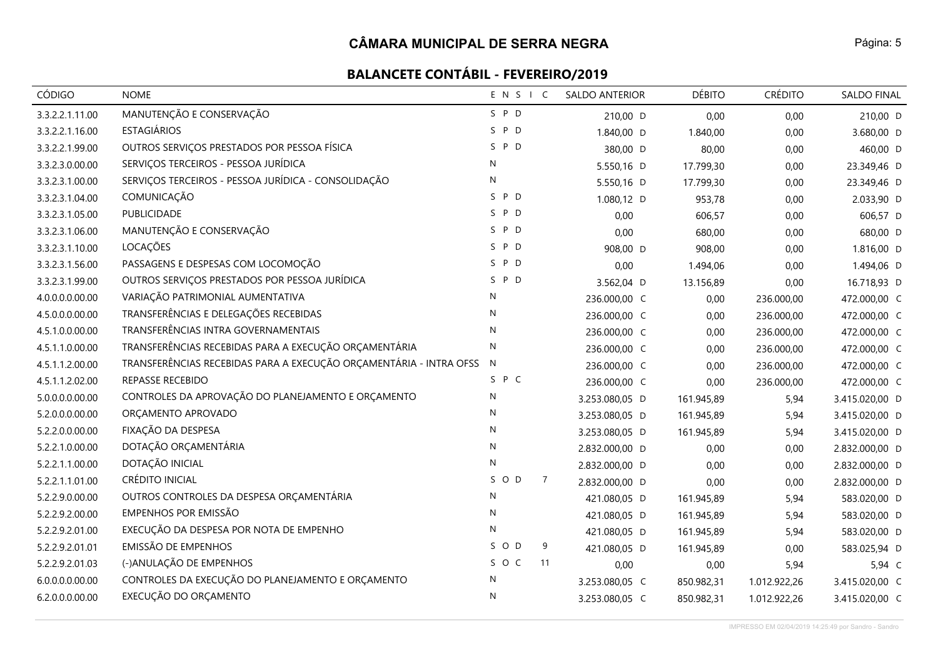| <b>CÓDIGO</b>   | <b>NOME</b>                                                        | ENSIC     |                | <b>SALDO ANTERIOR</b> | <b>DÉBITO</b> | <b>CRÉDITO</b> | SALDO FINAL    |
|-----------------|--------------------------------------------------------------------|-----------|----------------|-----------------------|---------------|----------------|----------------|
| 3.3.2.2.1.11.00 | MANUTENÇÃO E CONSERVAÇÃO                                           | S P D     |                | 210,00 D              | 0,00          | 0,00           | 210,00 D       |
| 3.3.2.2.1.16.00 | <b>ESTAGIÁRIOS</b>                                                 | S P D     |                | 1.840,00 D            | 1.840,00      | 0,00           | 3.680,00 D     |
| 3.3.2.2.1.99.00 | OUTROS SERVIÇOS PRESTADOS POR PESSOA FÍSICA                        | S P D     |                | 380,00 D              | 80,00         | 0,00           | 460,00 D       |
| 3.3.2.3.0.00.00 | SERVIÇOS TERCEIROS - PESSOA JURÍDICA                               | N         |                | 5.550,16 D            | 17.799,30     | 0,00           | 23.349,46 D    |
| 3.3.2.3.1.00.00 | SERVIÇOS TERCEIROS - PESSOA JURÍDICA - CONSOLIDAÇÃO                | N         |                | 5.550,16 D            | 17.799,30     | 0,00           | 23.349,46 D    |
| 3.3.2.3.1.04.00 | COMUNICAÇÃO                                                        | S P D     |                | 1.080,12 D            | 953,78        | 0,00           | 2.033,90 D     |
| 3.3.2.3.1.05.00 | PUBLICIDADE                                                        | S P D     |                | 0,00                  | 606,57        | 0,00           | 606,57 D       |
| 3.3.2.3.1.06.00 | MANUTENÇÃO E CONSERVAÇÃO                                           | S P D     |                | 0,00                  | 680,00        | 0,00           | 680,00 D       |
| 3.3.2.3.1.10.00 | LOCAÇÕES                                                           | S P D     |                | 908,00 D              | 908,00        | 0,00           | 1.816,00 D     |
| 3.3.2.3.1.56.00 | PASSAGENS E DESPESAS COM LOCOMOÇÃO                                 | S P D     |                | 0,00                  | 1.494,06      | 0,00           | 1.494,06 D     |
| 3.3.2.3.1.99.00 | OUTROS SERVIÇOS PRESTADOS POR PESSOA JURÍDICA                      | P D<br>S. |                | 3.562,04 D            | 13.156,89     | 0,00           | 16.718,93 D    |
| 4.0.0.0.0.00.00 | VARIAÇÃO PATRIMONIAL AUMENTATIVA                                   | N         |                | 236.000,00 C          | 0,00          | 236.000,00     | 472.000,00 C   |
| 4.5.0.0.0.00.00 | TRANSFERÊNCIAS E DELEGAÇÕES RECEBIDAS                              | N         |                | 236.000,00 C          | 0,00          | 236.000,00     | 472.000,00 C   |
| 4.5.1.0.0.00.00 | TRANSFERÊNCIAS INTRA GOVERNAMENTAIS                                | N         |                | 236.000,00 C          | 0,00          | 236.000,00     | 472.000,00 C   |
| 4.5.1.1.0.00.00 | TRANSFERÊNCIAS RECEBIDAS PARA A EXECUÇÃO ORÇAMENTÁRIA              | N         |                | 236.000,00 C          | 0,00          | 236.000,00     | 472.000,00 C   |
| 4.5.1.1.2.00.00 | TRANSFERÊNCIAS RECEBIDAS PARA A EXECUÇÃO ORÇAMENTÁRIA - INTRA OFSS | N         |                | 236.000,00 C          | 0,00          | 236.000,00     | 472.000,00 C   |
| 4.5.1.1.2.02.00 | REPASSE RECEBIDO                                                   | S P C     |                | 236.000,00 C          | 0,00          | 236.000,00     | 472.000,00 C   |
| 5.0.0.0.0.00.00 | CONTROLES DA APROVAÇÃO DO PLANEJAMENTO E ORÇAMENTO                 | N         |                | 3.253.080,05 D        | 161.945,89    | 5,94           | 3.415.020,00 D |
| 5.2.0.0.0.00.00 | ORÇAMENTO APROVADO                                                 | N         |                | 3.253.080,05 D        | 161.945,89    | 5,94           | 3.415.020,00 D |
| 5.2.2.0.0.00.00 | FIXAÇÃO DA DESPESA                                                 | N         |                | 3.253.080,05 D        | 161.945,89    | 5,94           | 3.415.020,00 D |
| 5.2.2.1.0.00.00 | DOTAÇÃO ORÇAMENTÁRIA                                               | N         |                | 2.832.000,00 D        | 0,00          | 0,00           | 2.832.000,00 D |
| 5.2.2.1.1.00.00 | DOTAÇÃO INICIAL                                                    | N         |                | 2.832.000,00 D        | 0,00          | 0,00           | 2.832.000,00 D |
| 5.2.2.1.1.01.00 | <b>CRÉDITO INICIAL</b>                                             | SOD       | $\overline{7}$ | 2.832.000,00 D        | 0,00          | 0,00           | 2.832.000,00 D |
| 5.2.2.9.0.00.00 | OUTROS CONTROLES DA DESPESA ORÇAMENTÁRIA                           | N         |                | 421.080,05 D          | 161.945,89    | 5,94           | 583.020,00 D   |
| 5.2.2.9.2.00.00 | EMPENHOS POR EMISSÃO                                               | N         |                | 421.080,05 D          | 161.945,89    | 5,94           | 583.020,00 D   |
| 5.2.2.9.2.01.00 | EXECUÇÃO DA DESPESA POR NOTA DE EMPENHO                            | N         |                | 421.080,05 D          | 161.945,89    | 5,94           | 583.020,00 D   |
| 5.2.2.9.2.01.01 | <b>EMISSÃO DE EMPENHOS</b>                                         | SOD       | 9              | 421.080,05 D          | 161.945,89    | 0,00           | 583.025,94 D   |
| 5.2.2.9.2.01.03 | (-)ANULAÇÃO DE EMPENHOS                                            | S O C     | 11             | 0,00                  | 0,00          | 5,94           | 5,94 C         |
| 6.0.0.0.0.00.00 | CONTROLES DA EXECUÇÃO DO PLANEJAMENTO E ORÇAMENTO                  | N         |                | 3.253.080,05 C        | 850.982,31    | 1.012.922,26   | 3.415.020,00 C |
| 6.2.0.0.0.00.00 | EXECUÇÃO DO ORÇAMENTO                                              | N         |                | 3.253.080,05 C        | 850.982,31    | 1.012.922,26   | 3.415.020,00 C |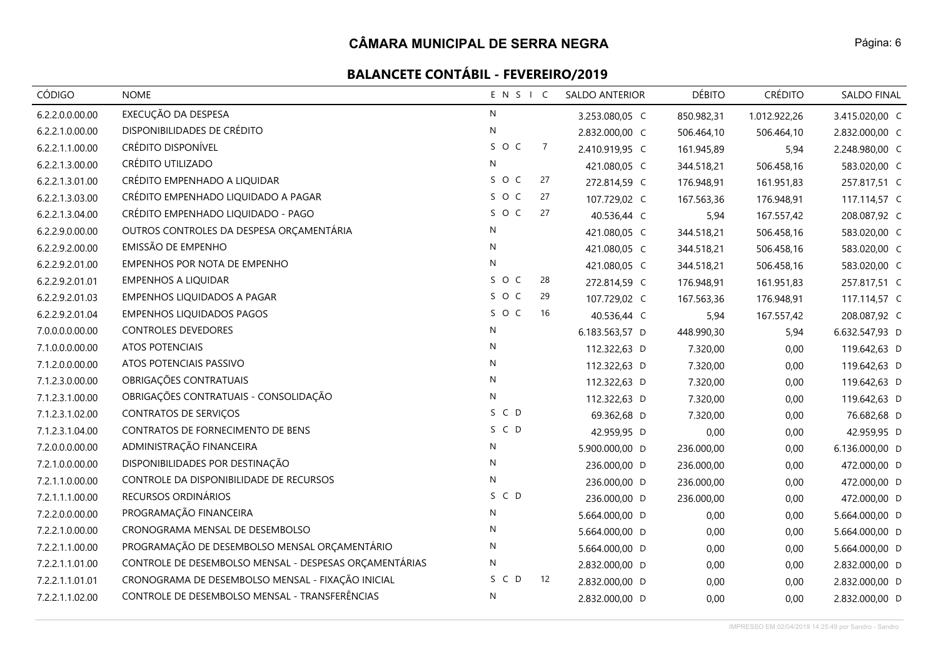| CÓDIGO          | <b>NOME</b>                                            | ENSIC        |                | <b>SALDO ANTERIOR</b> | <b>DÉBITO</b> | <b>CRÉDITO</b> | SALDO FINAL    |
|-----------------|--------------------------------------------------------|--------------|----------------|-----------------------|---------------|----------------|----------------|
| 6.2.2.0.0.00.00 | EXECUÇÃO DA DESPESA                                    | ${\sf N}$    |                | 3.253.080,05 C        | 850.982,31    | 1.012.922,26   | 3.415.020,00 C |
| 6.2.2.1.0.00.00 | DISPONIBILIDADES DE CRÉDITO                            | $\mathsf{N}$ |                | 2.832.000,00 C        | 506.464,10    | 506.464,10     | 2.832.000,00 C |
| 6.2.2.1.1.00.00 | CRÉDITO DISPONÍVEL                                     | SOC          | $\overline{7}$ | 2.410.919,95 C        | 161.945,89    | 5,94           | 2.248.980,00 C |
| 6.2.2.1.3.00.00 | CRÉDITO UTILIZADO                                      | ${\sf N}$    |                | 421.080,05 C          | 344.518,21    | 506.458,16     | 583.020,00 C   |
| 6.2.2.1.3.01.00 | CRÉDITO EMPENHADO A LIQUIDAR                           | S O C        | 27             | 272.814,59 C          | 176.948,91    | 161.951,83     | 257.817,51 C   |
| 6.2.2.1.3.03.00 | CRÉDITO EMPENHADO LIQUIDADO A PAGAR                    | SOC          | 27             | 107.729,02 C          | 167.563,36    | 176.948,91     | 117.114,57 C   |
| 6.2.2.1.3.04.00 | CRÉDITO EMPENHADO LIQUIDADO - PAGO                     | SOC          | 27             | 40.536,44 C           | 5,94          | 167.557,42     | 208.087,92 C   |
| 6.2.2.9.0.00.00 | OUTROS CONTROLES DA DESPESA ORÇAMENTÁRIA               | N            |                | 421.080,05 C          | 344.518,21    | 506.458,16     | 583.020,00 C   |
| 6.2.2.9.2.00.00 | EMISSÃO DE EMPENHO                                     | N            |                | 421.080,05 C          | 344.518,21    | 506.458,16     | 583.020,00 C   |
| 6.2.2.9.2.01.00 | EMPENHOS POR NOTA DE EMPENHO                           | ${\sf N}$    |                | 421.080,05 C          | 344.518,21    | 506.458,16     | 583.020,00 C   |
| 6.2.2.9.2.01.01 | <b>EMPENHOS A LIQUIDAR</b>                             | SOC          | 28             | 272.814,59 C          | 176.948,91    | 161.951,83     | 257.817,51 C   |
| 6.2.2.9.2.01.03 | EMPENHOS LIQUIDADOS A PAGAR                            | SOC          | 29             | 107.729,02 C          | 167.563,36    | 176.948,91     | 117.114,57 C   |
| 6.2.2.9.2.01.04 | <b>EMPENHOS LIQUIDADOS PAGOS</b>                       | SOC          | 16             | 40.536,44 C           | 5,94          | 167.557,42     | 208.087,92 C   |
| 7.0.0.0.0.00.00 | <b>CONTROLES DEVEDORES</b>                             | ${\sf N}$    |                | 6.183.563,57 D        | 448.990,30    | 5,94           | 6.632.547,93 D |
| 7.1.0.0.0.00.00 | <b>ATOS POTENCIAIS</b>                                 | $\mathsf{N}$ |                | 112.322,63 D          | 7.320,00      | 0,00           | 119.642,63 D   |
| 7.1.2.0.0.00.00 | ATOS POTENCIAIS PASSIVO                                | $\mathsf{N}$ |                | 112.322,63 D          | 7.320,00      | 0,00           | 119.642,63 D   |
| 7.1.2.3.0.00.00 | OBRIGAÇÕES CONTRATUAIS                                 | ${\sf N}$    |                | 112.322,63 D          | 7.320,00      | 0,00           | 119.642,63 D   |
| 7.1.2.3.1.00.00 | OBRIGAÇÕES CONTRATUAIS - CONSOLIDAÇÃO                  | ${\sf N}$    |                | 112.322,63 D          | 7.320,00      | 0,00           | 119.642,63 D   |
| 7.1.2.3.1.02.00 | <b>CONTRATOS DE SERVIÇOS</b>                           | S C D        |                | 69.362,68 D           | 7.320,00      | 0,00           | 76.682,68 D    |
| 7.1.2.3.1.04.00 | CONTRATOS DE FORNECIMENTO DE BENS                      | S C D        |                | 42.959,95 D           | 0,00          | 0,00           | 42.959,95 D    |
| 7.2.0.0.0.00.00 | ADMINISTRAÇÃO FINANCEIRA                               | N            |                | 5.900.000,00 D        | 236.000,00    | 0,00           | 6.136.000,00 D |
| 7.2.1.0.0.00.00 | DISPONIBILIDADES POR DESTINAÇÃO                        | $\mathsf{N}$ |                | 236.000,00 D          | 236.000,00    | 0,00           | 472.000,00 D   |
| 7.2.1.1.0.00.00 | CONTROLE DA DISPONIBILIDADE DE RECURSOS                | ${\sf N}$    |                | 236.000,00 D          | 236.000,00    | 0,00           | 472.000,00 D   |
| 7.2.1.1.1.00.00 | RECURSOS ORDINÁRIOS                                    | S C D        |                | 236.000,00 D          | 236.000,00    | 0,00           | 472.000,00 D   |
| 7.2.2.0.0.00.00 | PROGRAMAÇÃO FINANCEIRA                                 | N            |                | 5.664.000,00 D        | 0,00          | 0,00           | 5.664.000,00 D |
| 7.2.2.1.0.00.00 | CRONOGRAMA MENSAL DE DESEMBOLSO                        | $\mathsf{N}$ |                | 5.664.000,00 D        | 0,00          | 0,00           | 5.664.000,00 D |
| 7.2.2.1.1.00.00 | PROGRAMAÇÃO DE DESEMBOLSO MENSAL ORÇAMENTÁRIO          | N            |                | 5.664.000,00 D        | 0,00          | 0,00           | 5.664.000,00 D |
| 7.2.2.1.1.01.00 | CONTROLE DE DESEMBOLSO MENSAL - DESPESAS ORÇAMENTÁRIAS | ${\sf N}$    |                | 2.832.000,00 D        | 0,00          | 0,00           | 2.832.000,00 D |
| 7.2.2.1.1.01.01 | CRONOGRAMA DE DESEMBOLSO MENSAL - FIXAÇÃO INICIAL      | S C D        | 12             | 2.832.000,00 D        | 0,00          | 0,00           | 2.832.000,00 D |
| 7.2.2.1.1.02.00 | CONTROLE DE DESEMBOLSO MENSAL - TRANSFERÊNCIAS         | ${\sf N}$    |                | 2.832.000,00 D        | 0.00          | 0.00           | 2.832.000,00 D |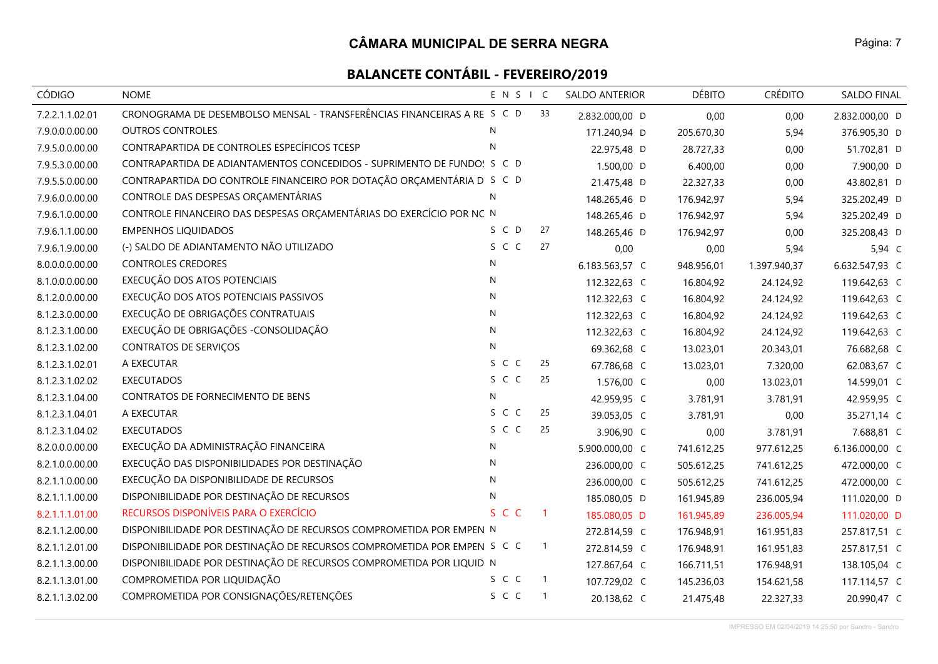| CÓDIGO          | <b>NOME</b>                                                             | ENSIC        |                            | <b>SALDO ANTERIOR</b> | <b>DÉBITO</b> | <b>CRÉDITO</b> | SALDO FINAL    |
|-----------------|-------------------------------------------------------------------------|--------------|----------------------------|-----------------------|---------------|----------------|----------------|
| 7.2.2.1.1.02.01 | CRONOGRAMA DE DESEMBOLSO MENSAL - TRANSFERÊNCIAS FINANCEIRAS A RE S C D |              | 33                         | 2.832.000,00 D        | 0,00          | 0,00           | 2.832.000,00 D |
| 7.9.0.0.0.00.00 | <b>OUTROS CONTROLES</b>                                                 | N            |                            | 171.240,94 D          | 205.670,30    | 5,94           | 376.905,30 D   |
| 7.9.5.0.0.00.00 | CONTRAPARTIDA DE CONTROLES ESPECÍFICOS TCESP                            | $\mathsf{N}$ |                            | 22.975,48 D           | 28.727,33     | 0,00           | 51.702,81 D    |
| 7.9.5.3.0.00.00 | CONTRAPARTIDA DE ADIANTAMENTOS CONCEDIDOS - SUPRIMENTO DE FUNDO! S C D  |              |                            | 1.500,00 D            | 6.400,00      | 0,00           | 7.900,00 D     |
| 7.9.5.5.0.00.00 | CONTRAPARTIDA DO CONTROLE FINANCEIRO POR DOTAÇÃO ORÇAMENTÁRIA D S C D   |              |                            | 21.475,48 D           | 22.327,33     | 0,00           | 43.802,81 D    |
| 7.9.6.0.0.00.00 | CONTROLE DAS DESPESAS ORÇAMENTÁRIAS                                     | N            |                            | 148.265,46 D          | 176.942,97    | 5,94           | 325.202,49 D   |
| 7.9.6.1.0.00.00 | CONTROLE FINANCEIRO DAS DESPESAS ORÇAMENTÁRIAS DO EXERCÍCIO POR NC N    |              |                            | 148.265,46 D          | 176.942,97    | 5,94           | 325.202,49 D   |
| 7.9.6.1.1.00.00 | <b>EMPENHOS LIQUIDADOS</b>                                              | S C D        | 27                         | 148.265,46 D          | 176.942,97    | 0,00           | 325.208,43 D   |
| 7.9.6.1.9.00.00 | (-) SALDO DE ADIANTAMENTO NÃO UTILIZADO                                 | S C C        | 27                         | 0,00                  | 0,00          | 5,94           | 5,94 C         |
| 8.0.0.0.0.00.00 | <b>CONTROLES CREDORES</b>                                               | N            |                            | 6.183.563,57 C        | 948.956,01    | 1.397.940,37   | 6.632.547,93 C |
| 8.1.0.0.0.00.00 | EXECUÇÃO DOS ATOS POTENCIAIS                                            | ${\sf N}$    |                            | 112.322,63 C          | 16.804,92     | 24.124,92      | 119.642,63 C   |
| 8.1.2.0.0.00.00 | EXECUÇÃO DOS ATOS POTENCIAIS PASSIVOS                                   | N            |                            | 112.322,63 C          | 16.804,92     | 24.124,92      | 119.642,63 C   |
| 8.1.2.3.0.00.00 | EXECUÇÃO DE OBRIGAÇÕES CONTRATUAIS                                      | $\mathsf{N}$ |                            | 112.322,63 C          | 16.804,92     | 24.124,92      | 119.642,63 C   |
| 8.1.2.3.1.00.00 | EXECUÇÃO DE OBRIGAÇÕES - CONSOLIDAÇÃO                                   | N            |                            | 112.322,63 C          | 16.804,92     | 24.124,92      | 119.642,63 C   |
| 8.1.2.3.1.02.00 | <b>CONTRATOS DE SERVIÇOS</b>                                            | ${\sf N}$    |                            | 69.362,68 C           | 13.023,01     | 20.343,01      | 76.682,68 C    |
| 8.1.2.3.1.02.01 | A EXECUTAR                                                              | S C C        | 25                         | 67.786,68 C           | 13.023,01     | 7.320,00       | 62.083,67 C    |
| 8.1.2.3.1.02.02 | <b>EXECUTADOS</b>                                                       | S C C        | 25                         | 1.576,00 C            | 0,00          | 13.023,01      | 14.599,01 C    |
| 8.1.2.3.1.04.00 | CONTRATOS DE FORNECIMENTO DE BENS                                       | N            |                            | 42.959,95 C           | 3.781,91      | 3.781,91       | 42.959,95 C    |
| 8.1.2.3.1.04.01 | A EXECUTAR                                                              | S C C        | 25                         | 39.053,05 C           | 3.781,91      | 0,00           | 35.271,14 C    |
| 8.1.2.3.1.04.02 | <b>EXECUTADOS</b>                                                       | S C C        | 25                         | 3.906,90 C            | 0,00          | 3.781,91       | 7.688,81 C     |
| 8.2.0.0.0.00.00 | EXECUÇÃO DA ADMINISTRAÇÃO FINANCEIRA                                    | $\mathsf{N}$ |                            | 5.900.000,00 C        | 741.612,25    | 977.612,25     | 6.136.000,00 C |
| 8.2.1.0.0.00.00 | EXECUÇÃO DAS DISPONIBILIDADES POR DESTINAÇÃO                            | N            |                            | 236.000,00 C          | 505.612,25    | 741.612,25     | 472.000,00 C   |
| 8.2.1.1.0.00.00 | EXECUÇÃO DA DISPONIBILIDADE DE RECURSOS                                 | $\mathsf{N}$ |                            | 236.000,00 C          | 505.612,25    | 741.612,25     | 472.000,00 C   |
| 8.2.1.1.1.00.00 | DISPONIBILIDADE POR DESTINAÇÃO DE RECURSOS                              | N            |                            | 185.080,05 D          | 161.945,89    | 236.005,94     | 111.020,00 D   |
| 8.2.1.1.1.01.00 | RECURSOS DISPONÍVEIS PARA O EXERCÍCIO                                   | S C C        | $\overline{1}$             | 185.080,05 D          | 161.945,89    | 236.005,94     | 111.020,00 D   |
| 8.2.1.1.2.00.00 | DISPONIBILIDADE POR DESTINAÇÃO DE RECURSOS COMPROMETIDA POR EMPEN N     |              |                            | 272.814,59 C          | 176.948,91    | 161.951,83     | 257.817,51 C   |
| 8.2.1.1.2.01.00 | DISPONIBILIDADE POR DESTINAÇÃO DE RECURSOS COMPROMETIDA POR EMPEN S C C |              | $\overline{1}$             | 272.814,59 C          | 176.948,91    | 161.951,83     | 257.817,51 C   |
| 8.2.1.1.3.00.00 | DISPONIBILIDADE POR DESTINAÇÃO DE RECURSOS COMPROMETIDA POR LIQUID N    |              |                            | 127.867,64 C          | 166.711,51    | 176.948,91     | 138.105,04 C   |
| 8.2.1.1.3.01.00 | COMPROMETIDA POR LIQUIDAÇÃO                                             | S C C        | $\overline{1}$             | 107.729,02 C          | 145.236,03    | 154.621,58     | 117.114,57 C   |
| 8.2.1.1.3.02.00 | COMPROMETIDA POR CONSIGNAÇÕES/RETENÇÕES                                 | S C C        | $\overline{\phantom{0}}$ 1 | 20.138,62 C           | 21.475,48     | 22.327,33      | 20.990,47 C    |